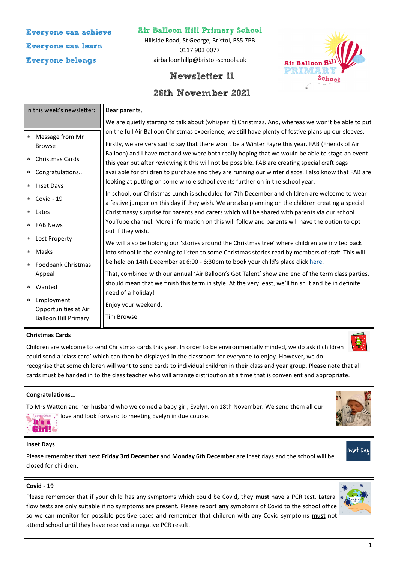# **Everyone can achieve Everyone can learn Everyone belongs**

# **Air Balloon Hill Primary School**

Hillside Road, St George, Bristol, BS5 7PB 0117 903 0077 airballoonhillp@bristol-schools.uk



# **Newsletter 11**

# **26th November 2021**

| In this week's newsletter:                                                                                                                                       | Dear parents,                                                                                                                                                                                                                                                                                                                                                                                                                                                                                                                                                                                                                                                                                                                                                                                                |  |  |  |
|------------------------------------------------------------------------------------------------------------------------------------------------------------------|--------------------------------------------------------------------------------------------------------------------------------------------------------------------------------------------------------------------------------------------------------------------------------------------------------------------------------------------------------------------------------------------------------------------------------------------------------------------------------------------------------------------------------------------------------------------------------------------------------------------------------------------------------------------------------------------------------------------------------------------------------------------------------------------------------------|--|--|--|
|                                                                                                                                                                  | We are quietly starting to talk about (whisper it) Christmas. And, whereas we won't be able to put                                                                                                                                                                                                                                                                                                                                                                                                                                                                                                                                                                                                                                                                                                           |  |  |  |
| Message from Mr<br>$\star$<br><b>Browse</b><br><b>Christmas Cards</b><br>$\star$<br>Congratulations<br>$\star$<br>Inset Days<br>$\star$<br>Covid - 19<br>$\star$ | on the full Air Balloon Christmas experience, we still have plenty of festive plans up our sleeves.<br>Firstly, we are very sad to say that there won't be a Winter Fayre this year. FAB (Friends of Air<br>Balloon) and I have met and we were both really hoping that we would be able to stage an event<br>this year but after reviewing it this will not be possible. FAB are creating special craft bags<br>available for children to purchase and they are running our winter discos. I also know that FAB are<br>looking at putting on some whole school events further on in the school year.<br>In school, our Christmas Lunch is scheduled for 7th December and children are welcome to wear<br>a festive jumper on this day if they wish. We are also planning on the children creating a special |  |  |  |
| Lates<br>$\star$<br><b>FAB News</b><br>$\ast$                                                                                                                    | Christmassy surprise for parents and carers which will be shared with parents via our school<br>YouTube channel. More information on this will follow and parents will have the option to opt<br>out if they wish.                                                                                                                                                                                                                                                                                                                                                                                                                                                                                                                                                                                           |  |  |  |
| Lost Property<br>$\star$<br>Masks<br>$\star$<br><b>Foodbank Christmas</b><br>$\approx$                                                                           | We will also be holding our 'stories around the Christmas tree' where children are invited back<br>into school in the evening to listen to some Christmas stories read by members of staff. This will<br>be held on 14th December at 6:00 - 6:30pm to book your child's place click here.                                                                                                                                                                                                                                                                                                                                                                                                                                                                                                                    |  |  |  |
| Appeal<br>Wanted<br>$\star$<br>Employment<br>$\approx$<br>Opportunities at Air<br><b>Balloon Hill Primary</b>                                                    | That, combined with our annual 'Air Balloon's Got Talent' show and end of the term class parties,<br>should mean that we finish this term in style. At the very least, we'll finish it and be in definite<br>need of a holiday!<br>Enjoy your weekend,<br><b>Tim Browse</b>                                                                                                                                                                                                                                                                                                                                                                                                                                                                                                                                  |  |  |  |

### **Christmas Cards**

Children are welcome to send Christmas cards this year. In order to be environmentally minded, we do ask if children could send a 'class card' which can then be displayed in the classroom for everyone to enjoy. However, we do recognise that some children will want to send cards to individual children in their class and year group. Please note that all cards must be handed in to the class teacher who will arrange distribution at a time that is convenient and appropriate.

# **Congratulations...**

To Mrs Watton and her husband who welcomed a baby girl, Evelyn, on 18th November. We send them all our Congideditions .\* love and look forward to meeting Evelyn in due course. It's a

# **Inset Days**

Girl!

Please remember that next **Friday 3rd December** and **Monday 6th December** are Inset days and the school will be closed for children.

#### **Covid - 19**

Please remember that if your child has any symptoms which could be Covid, they **must** have a PCR test. Lateral flow tests are only suitable if no symptoms are present. Please report **any** symptoms of Covid to the school office so we can monitor for possible positive cases and remember that children with any Covid symptoms **must** not attend school until they have received a negative PCR result.



Inset Day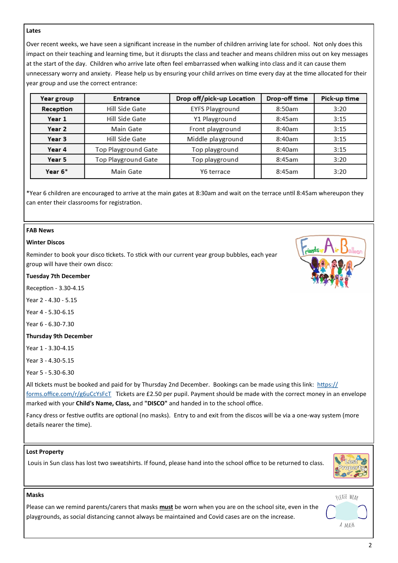#### **Lates**

Over recent weeks, we have seen a significant increase in the number of children arriving late for school. Not only does this impact on their teaching and learning time, but it disrupts the class and teacher and means children miss out on key messages at the start of the day. Children who arrive late often feel embarrassed when walking into class and it can cause them unnecessary worry and anxiety. Please help us by ensuring your child arrives on time every day at the time allocated for their year group and use the correct entrance:

| Year group | <b>Entrance</b>            | Drop off/pick-up Location | Drop-off time | Pick-up time |
|------------|----------------------------|---------------------------|---------------|--------------|
| Reception  | Hill Side Gate             | <b>EYFS Playground</b>    | 8:50am        | 3:20         |
| Year 1     | Hill Side Gate             | Y1 Playground             | 8:45am        | 3:15         |
| Year 2     | Main Gate                  | Front playground          | 8:40am        | 3:15         |
| Year 3     | Hill Side Gate             | Middle playground         | 8:40am        | 3:15         |
| Year 4     | <b>Top Playground Gate</b> | Top playground            | 8:40am        | 3:15         |
| Year 5     | <b>Top Playground Gate</b> | Top playground            | 8:45am        | 3:20         |
| Year 6*    | Main Gate                  | Y6 terrace                | 8:45am        | 3:20         |

\*Year 6 children are encouraged to arrive at the main gates at 8:30am and wait on the terrace until 8:45am whereupon they can enter their classrooms for registration.

#### **FAB News**

#### **Winter Discos**

Reminder to book your disco tickets. To stick with our current year group bubbles, each year group will have their own disco:

#### **Tuesday 7th December**

Reception - 3.30-4.15

Year 2 - 4.30 - 5.15

Year 4 - 5.30-6.15

Year 6 - 6.30-7.30

#### **Thursday 9th December**

Year 1 - 3.30-4.15

Year 3 - 4.30-5.15

Year 5 - 5.30-6.30

All tickets must be booked and paid for by Thursday 2nd December. Bookings can be made using this link: [https://](https://forms.office.com/r/g6uCcYsFcT) [forms.office.com/r/g6uCcYsFcT](https://forms.office.com/r/g6uCcYsFcT) Tickets are £2.50 per pupil. Payment should be made with the correct money in an envelope marked with your **Child's Name, Class,** and **"DISCO"** and handed in to the school office.

Fancy dress or festive outfits are optional (no masks). Entry to and exit from the discos will be via a one-way system (more details nearer the time).

#### **Lost Property**

**Masks**

Louis in Sun class has lost two sweatshirts. If found, please hand into the school office to be returned to class.



Please can we remind parents/carers that masks **must** be worn when you are on the school site, even in the playgrounds, as social distancing cannot always be maintained and Covid cases are on the increase.

A MASK

RLEASE WEAR